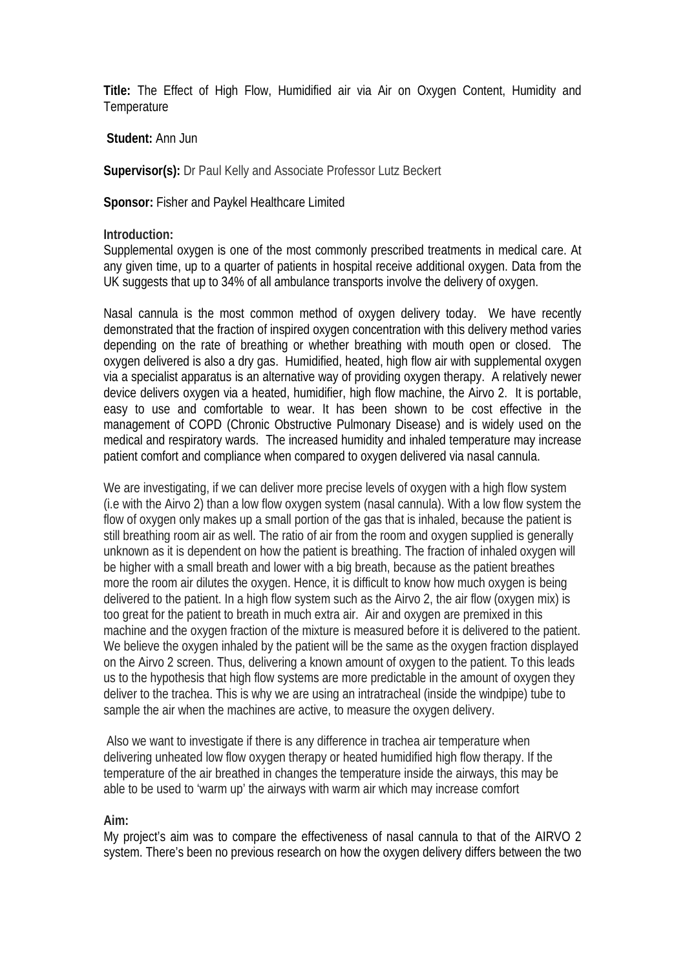**Title:** The Effect of High Flow, Humidified air via Air on Oxygen Content, Humidity and **Temperature** 

**Student:** Ann Jun

Supervisor(s): Dr Paul Kelly and Associate Professor Lutz Beckert

**Sponsor:** Fisher and Paykel Healthcare Limited

**Introduction:** 

Supplemental oxygen is one of the most commonly prescribed treatments in medical care. At any given time, up to a quarter of patients in hospital receive additional oxygen. Data from the UK suggests that up to 34% of all ambulance transports involve the delivery of oxygen.

Nasal cannula is the most common method of oxygen delivery today. We have recently demonstrated that the fraction of inspired oxygen concentration with this delivery method varies depending on the rate of breathing or whether breathing with mouth open or closed. The oxygen delivered is also a dry gas. Humidified, heated, high flow air with supplemental oxygen via a specialist apparatus is an alternative way of providing oxygen therapy. A relatively newer device delivers oxygen via a heated, humidifier, high flow machine, the Airvo 2. It is portable, easy to use and comfortable to wear. It has been shown to be cost effective in the management of COPD (Chronic Obstructive Pulmonary Disease) and is widely used on the medical and respiratory wards. The increased humidity and inhaled temperature may increase patient comfort and compliance when compared to oxygen delivered via nasal cannula.

We are investigating, if we can deliver more precise levels of oxygen with a high flow system (i.e with the Airvo 2) than a low flow oxygen system (nasal cannula). With a low flow system the flow of oxygen only makes up a small portion of the gas that is inhaled, because the patient is still breathing room air as well. The ratio of air from the room and oxygen supplied is generally unknown as it is dependent on how the patient is breathing. The fraction of inhaled oxygen will be higher with a small breath and lower with a big breath, because as the patient breathes more the room air dilutes the oxygen. Hence, it is difficult to know how much oxygen is being delivered to the patient. In a high flow system such as the Airvo 2, the air flow (oxygen mix) is too great for the patient to breath in much extra air. Air and oxygen are premixed in this machine and the oxygen fraction of the mixture is measured before it is delivered to the patient. We believe the oxygen inhaled by the patient will be the same as the oxygen fraction displayed on the Airvo 2 screen. Thus, delivering a known amount of oxygen to the patient. To this leads us to the hypothesis that high flow systems are more predictable in the amount of oxygen they deliver to the trachea. This is why we are using an intratracheal (inside the windpipe) tube to sample the air when the machines are active, to measure the oxygen delivery.

Also we want to investigate if there is any difference in trachea air temperature when delivering unheated low flow oxygen therapy or heated humidified high flow therapy. If the temperature of the air breathed in changes the temperature inside the airways, this may be able to be used to 'warm up' the airways with warm air which may increase comfort

## **Aim:**

My project's aim was to compare the effectiveness of nasal cannula to that of the AIRVO 2 system. There's been no previous research on how the oxygen delivery differs between the two